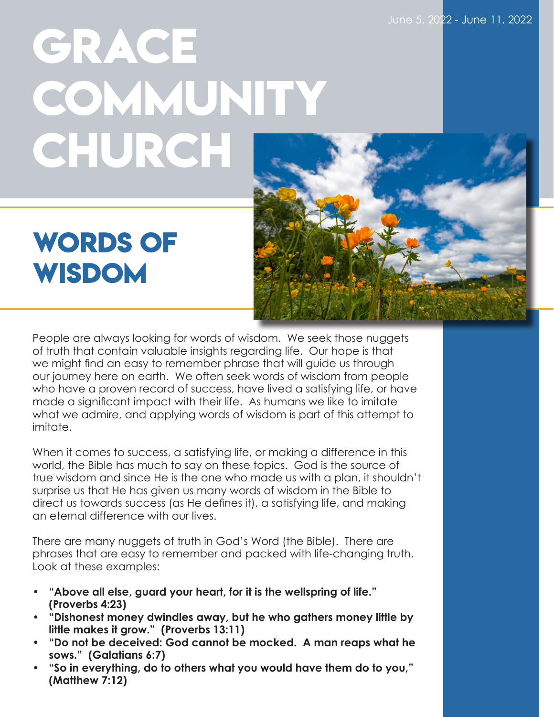## **GRACE COMMUNITY CHURCH**

## **WORDS OF Wisdom**

People are always looking for words of wisdom. We seek those nuggets of truth that contain valuable insights regarding life. Our hope is that we might find an easy to remember phrase that will guide us through our journey here on earth. We often seek words of wisdom from people who have a proven record of success, have lived a satisfying life, or have made a significant impact with their life. As humans we like to imitate what we admire, and applying words of wisdom is part of this attempt to imitate.

When it comes to success, a satisfying life, or making a difference in this world, the Bible has much to say on these topics. God is the source of true wisdom and since He is the one who made us with a plan, it shouldn't surprise us that He has given us many words of wisdom in the Bible to direct us towards success (as He defines it), a satisfying life, and making an eternal difference with our lives.

There are many nuggets of truth in God's Word (the Bible). There are phrases that are easy to remember and packed with life-changing truth. Look at these examples:

- **• "Above all else, guard your heart, for it is the wellspring of life." (Proverbs 4:23)**
- **• "Dishonest money dwindles away, but he who gathers money little by little makes it grow." (Proverbs 13:11)**
- **• "Do not be deceived: God cannot be mocked. A man reaps what he sows." (Galatians 6:7)**
- **• "So in everything, do to others what you would have them do to you," (Matthew 7:12)**